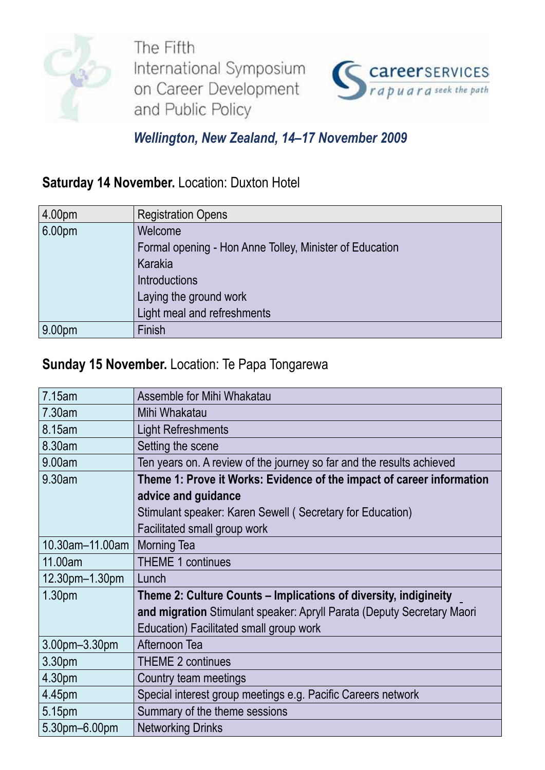

The Fifth International Symposium on Career Development and Public Policy



### *Wellington, New Zealand, 14–17 November 2009*

## **Saturday 14 November.** Location: Duxton Hotel

| 4.00pm | <b>Registration Opens</b>                               |
|--------|---------------------------------------------------------|
| 6.00pm | Welcome                                                 |
|        | Formal opening - Hon Anne Tolley, Minister of Education |
|        | Karakia                                                 |
|        | Introductions                                           |
|        | Laying the ground work                                  |
|        | Light meal and refreshments                             |
| 9.00pm | Finish                                                  |

#### **Sunday 15 November.** Location: Te Papa Tongarewa

| 7.15am          | Assemble for Mihi Whakatau                                             |
|-----------------|------------------------------------------------------------------------|
| 7.30am          | Mihi Whakatau                                                          |
| 8.15am          | <b>Light Refreshments</b>                                              |
| 8.30am          | Setting the scene                                                      |
| 9.00am          | Ten years on. A review of the journey so far and the results achieved  |
| 9.30am          | Theme 1: Prove it Works: Evidence of the impact of career information  |
|                 | advice and guidance                                                    |
|                 | Stimulant speaker: Karen Sewell (Secretary for Education)              |
|                 | Facilitated small group work                                           |
| 10.30am-11.00am | <b>Morning Tea</b>                                                     |
| 11.00am         | <b>THEME 1 continues</b>                                               |
| 12.30pm-1.30pm  | Lunch                                                                  |
| 1.30pm          | Theme 2: Culture Counts – Implications of diversity, indigineity       |
|                 | and migration Stimulant speaker: Apryll Parata (Deputy Secretary Maori |
|                 | Education) Facilitated small group work                                |
| 3.00pm-3.30pm   | Afternoon Tea                                                          |
| 3.30pm          | <b>THEME 2 continues</b>                                               |
| 4.30pm          | Country team meetings                                                  |
| 4.45pm          | Special interest group meetings e.g. Pacific Careers network           |
| 5.15pm          | Summary of the theme sessions                                          |
| 5.30pm-6.00pm   | <b>Networking Drinks</b>                                               |